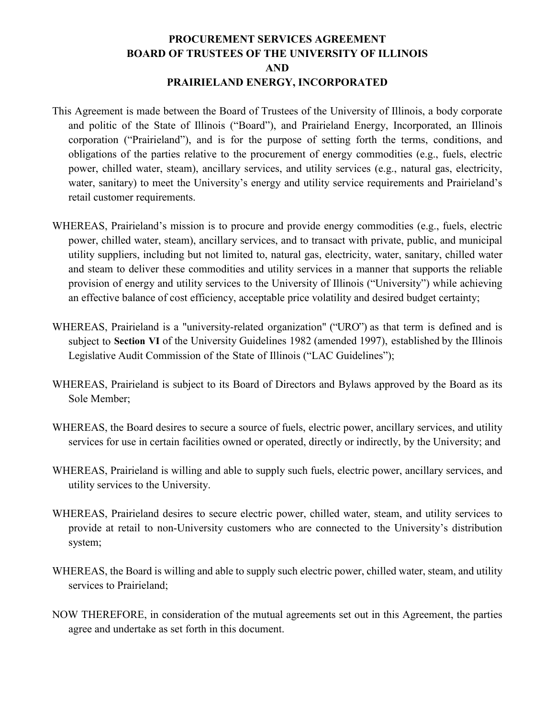## **PROCUREMENT SERVICES AGREEMENT BOARD OF TRUSTEES OF THE UNIVERSITY OF ILLINOIS AND PRAIRIELAND ENERGY, INCORPORATED**

- This Agreement is made between the Board of Trustees of the University of Illinois, a body corporate and politic of the State of Illinois ("Board"), and Prairieland Energy, Incorporated, an Illinois corporation ("Prairieland"), and is for the purpose of setting forth the terms, conditions, and obligations of the parties relative to the procurement of energy commodities (e.g., fuels, electric power, chilled water, steam), ancillary services, and utility services (e.g., natural gas, electricity, water, sanitary) to meet the University's energy and utility service requirements and Prairieland's retail customer requirements.
- WHEREAS, Prairieland's mission is to procure and provide energy commodities (e.g., fuels, electric power, chilled water, steam), ancillary services, and to transact with private, public, and municipal utility suppliers, including but not limited to, natural gas, electricity, water, sanitary, chilled water and steam to deliver these commodities and utility services in a manner that supports the reliable provision of energy and utility services to the University of Illinois ("University") while achieving an effective balance of cost efficiency, acceptable price volatility and desired budget certainty;
- WHEREAS, Prairieland is a "university-related organization" ("URO") as that term is defined and is subject to **Section VI** of the University Guidelines 1982 (amended 1997), established by the Illinois Legislative Audit Commission of the State of Illinois ("LAC Guidelines");
- WHEREAS, Prairieland is subject to its Board of Directors and Bylaws approved by the Board as its Sole Member;
- WHEREAS, the Board desires to secure a source of fuels, electric power, ancillary services, and utility services for use in certain facilities owned or operated, directly or indirectly, by the University; and
- WHEREAS, Prairieland is willing and able to supply such fuels, electric power, ancillary services, and utility services to the University.
- WHEREAS, Prairieland desires to secure electric power, chilled water, steam, and utility services to provide at retail to non-University customers who are connected to the University's distribution system;
- WHEREAS, the Board is willing and able to supply such electric power, chilled water, steam, and utility services to Prairieland;
- NOW THEREFORE, in consideration of the mutual agreements set out in this Agreement, the parties agree and undertake as set forth in this document.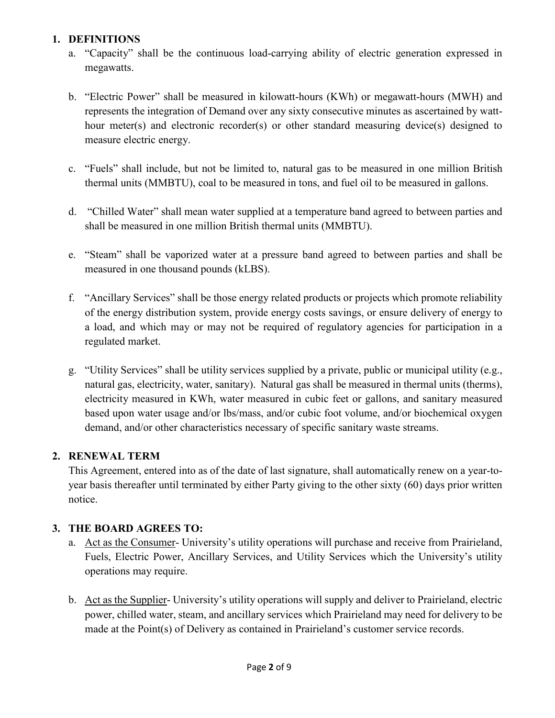# **1. DEFINITIONS**

- a. "Capacity" shall be the continuous load-carrying ability of electric generation expressed in megawatts.
- b. "Electric Power" shall be measured in kilowatt-hours (KWh) or megawatt-hours (MWH) and represents the integration of Demand over any sixty consecutive minutes as ascertained by watthour meter(s) and electronic recorder(s) or other standard measuring device(s) designed to measure electric energy.
- c. "Fuels" shall include, but not be limited to, natural gas to be measured in one million British thermal units (MMBTU), coal to be measured in tons, and fuel oil to be measured in gallons.
- d. "Chilled Water" shall mean water supplied at a temperature band agreed to between parties and shall be measured in one million British thermal units (MMBTU).
- e. "Steam" shall be vaporized water at a pressure band agreed to between parties and shall be measured in one thousand pounds (kLBS).
- f. "Ancillary Services" shall be those energy related products or projects which promote reliability of the energy distribution system, provide energy costs savings, or ensure delivery of energy to a load, and which may or may not be required of regulatory agencies for participation in a regulated market.
- g. "Utility Services" shall be utility services supplied by a private, public or municipal utility (e.g., natural gas, electricity, water, sanitary). Natural gas shall be measured in thermal units (therms), electricity measured in KWh, water measured in cubic feet or gallons, and sanitary measured based upon water usage and/or lbs/mass, and/or cubic foot volume, and/or biochemical oxygen demand, and/or other characteristics necessary of specific sanitary waste streams.

# **2. RENEWAL TERM**

This Agreement, entered into as of the date of last signature, shall automatically renew on a year-toyear basis thereafter until terminated by either Party giving to the other sixty (60) days prior written notice.

# **3. THE BOARD AGREES TO:**

- a. Act as the Consumer- University's utility operations will purchase and receive from Prairieland, Fuels, Electric Power, Ancillary Services, and Utility Services which the University's utility operations may require.
- b. Act as the Supplier- University's utility operations will supply and deliver to Prairieland, electric power, chilled water, steam, and ancillary services which Prairieland may need for delivery to be made at the Point(s) of Delivery as contained in Prairieland's customer service records.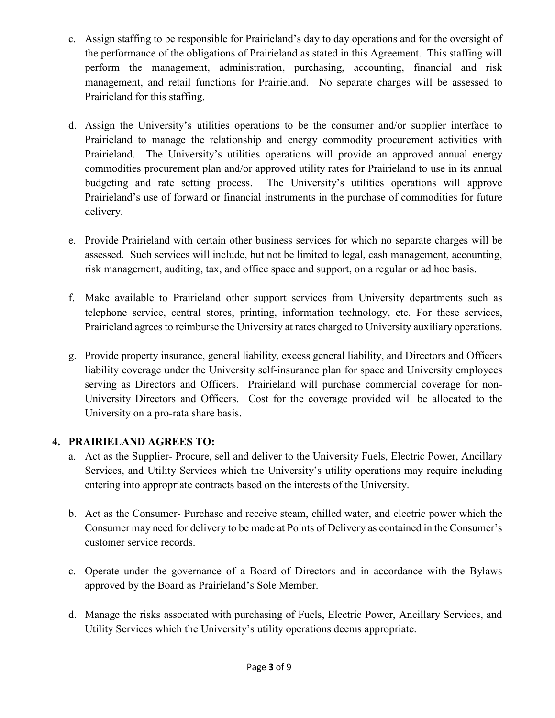- c. Assign staffing to be responsible for Prairieland's day to day operations and for the oversight of the performance of the obligations of Prairieland as stated in this Agreement. This staffing will perform the management, administration, purchasing, accounting, financial and risk management, and retail functions for Prairieland. No separate charges will be assessed to Prairieland for this staffing.
- d. Assign the University's utilities operations to be the consumer and/or supplier interface to Prairieland to manage the relationship and energy commodity procurement activities with Prairieland. The University's utilities operations will provide an approved annual energy commodities procurement plan and/or approved utility rates for Prairieland to use in its annual budgeting and rate setting process. The University's utilities operations will approve Prairieland's use of forward or financial instruments in the purchase of commodities for future delivery.
- e. Provide Prairieland with certain other business services for which no separate charges will be assessed. Such services will include, but not be limited to legal, cash management, accounting, risk management, auditing, tax, and office space and support, on a regular or ad hoc basis.
- f. Make available to Prairieland other support services from University departments such as telephone service, central stores, printing, information technology, etc. For these services, Prairieland agrees to reimburse the University at rates charged to University auxiliary operations.
- g. Provide property insurance, general liability, excess general liability, and Directors and Officers liability coverage under the University self-insurance plan for space and University employees serving as Directors and Officers. Prairieland will purchase commercial coverage for non-University Directors and Officers. Cost for the coverage provided will be allocated to the University on a pro-rata share basis.

# **4. PRAIRIELAND AGREES TO:**

- a. Act as the Supplier- Procure, sell and deliver to the University Fuels, Electric Power, Ancillary Services, and Utility Services which the University's utility operations may require including entering into appropriate contracts based on the interests of the University.
- b. Act as the Consumer- Purchase and receive steam, chilled water, and electric power which the Consumer may need for delivery to be made at Points of Delivery as contained in the Consumer's customer service records.
- c. Operate under the governance of a Board of Directors and in accordance with the Bylaws approved by the Board as Prairieland's Sole Member.
- d. Manage the risks associated with purchasing of Fuels, Electric Power, Ancillary Services, and Utility Services which the University's utility operations deems appropriate.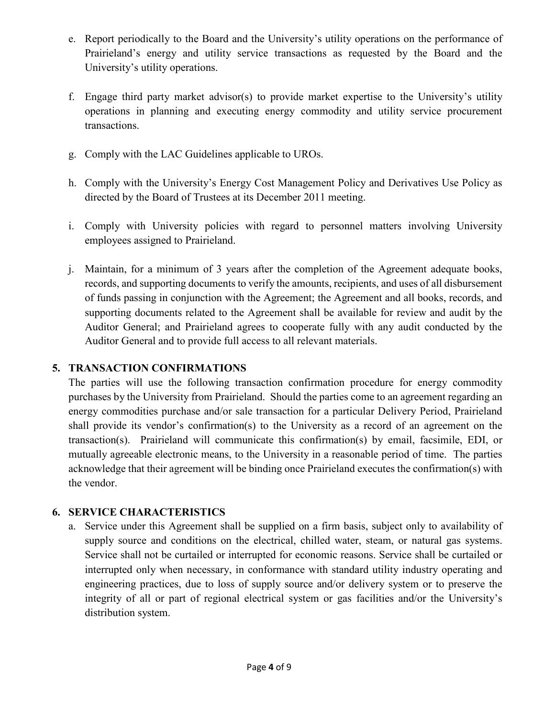- e. Report periodically to the Board and the University's utility operations on the performance of Prairieland's energy and utility service transactions as requested by the Board and the University's utility operations.
- f. Engage third party market advisor(s) to provide market expertise to the University's utility operations in planning and executing energy commodity and utility service procurement transactions.
- g. Comply with the LAC Guidelines applicable to UROs.
- h. Comply with the University's Energy Cost Management Policy and Derivatives Use Policy as directed by the Board of Trustees at its December 2011 meeting.
- i. Comply with University policies with regard to personnel matters involving University employees assigned to Prairieland.
- j. Maintain, for a minimum of 3 years after the completion of the Agreement adequate books, records, and supporting documents to verify the amounts, recipients, and uses of all disbursement of funds passing in conjunction with the Agreement; the Agreement and all books, records, and supporting documents related to the Agreement shall be available for review and audit by the Auditor General; and Prairieland agrees to cooperate fully with any audit conducted by the Auditor General and to provide full access to all relevant materials.

# **5. TRANSACTION CONFIRMATIONS**

The parties will use the following transaction confirmation procedure for energy commodity purchases by the University from Prairieland. Should the parties come to an agreement regarding an energy commodities purchase and/or sale transaction for a particular Delivery Period, Prairieland shall provide its vendor's confirmation(s) to the University as a record of an agreement on the transaction(s). Prairieland will communicate this confirmation(s) by email, facsimile, EDI, or mutually agreeable electronic means, to the University in a reasonable period of time. The parties acknowledge that their agreement will be binding once Prairieland executes the confirmation(s) with the vendor.

# **6. SERVICE CHARACTERISTICS**

a. Service under this Agreement shall be supplied on a firm basis, subject only to availability of supply source and conditions on the electrical, chilled water, steam, or natural gas systems. Service shall not be curtailed or interrupted for economic reasons. Service shall be curtailed or interrupted only when necessary, in conformance with standard utility industry operating and engineering practices, due to loss of supply source and/or delivery system or to preserve the integrity of all or part of regional electrical system or gas facilities and/or the University's distribution system.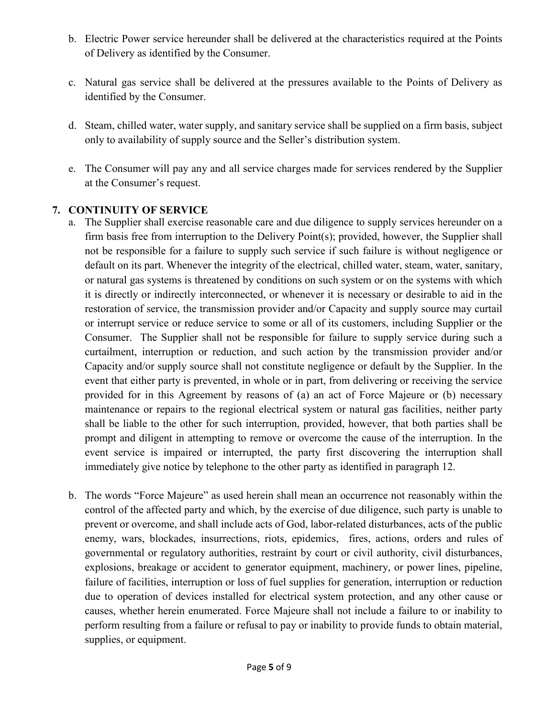- b. Electric Power service hereunder shall be delivered at the characteristics required at the Points of Delivery as identified by the Consumer.
- c. Natural gas service shall be delivered at the pressures available to the Points of Delivery as identified by the Consumer.
- d. Steam, chilled water, water supply, and sanitary service shall be supplied on a firm basis, subject only to availability of supply source and the Seller's distribution system.
- e. The Consumer will pay any and all service charges made for services rendered by the Supplier at the Consumer's request.

# **7. CONTINUITY OF SERVICE**

- a. The Supplier shall exercise reasonable care and due diligence to supply services hereunder on a firm basis free from interruption to the Delivery Point(s); provided, however, the Supplier shall not be responsible for a failure to supply such service if such failure is without negligence or default on its part. Whenever the integrity of the electrical, chilled water, steam, water, sanitary, or natural gas systems is threatened by conditions on such system or on the systems with which it is directly or indirectly interconnected, or whenever it is necessary or desirable to aid in the restoration of service, the transmission provider and/or Capacity and supply source may curtail or interrupt service or reduce service to some or all of its customers, including Supplier or the Consumer. The Supplier shall not be responsible for failure to supply service during such a curtailment, interruption or reduction, and such action by the transmission provider and/or Capacity and/or supply source shall not constitute negligence or default by the Supplier. In the event that either party is prevented, in whole or in part, from delivering or receiving the service provided for in this Agreement by reasons of (a) an act of Force Majeure or (b) necessary maintenance or repairs to the regional electrical system or natural gas facilities, neither party shall be liable to the other for such interruption, provided, however, that both parties shall be prompt and diligent in attempting to remove or overcome the cause of the interruption. In the event service is impaired or interrupted, the party first discovering the interruption shall immediately give notice by telephone to the other party as identified in paragraph 12.
- b. The words "Force Majeure" as used herein shall mean an occurrence not reasonably within the control of the affected party and which, by the exercise of due diligence, such party is unable to prevent or overcome, and shall include acts of God, labor-related disturbances, acts of the public enemy, wars, blockades, insurrections, riots, epidemics, fires, actions, orders and rules of governmental or regulatory authorities, restraint by court or civil authority, civil disturbances, explosions, breakage or accident to generator equipment, machinery, or power lines, pipeline, failure of facilities, interruption or loss of fuel supplies for generation, interruption or reduction due to operation of devices installed for electrical system protection, and any other cause or causes, whether herein enumerated. Force Majeure shall not include a failure to or inability to perform resulting from a failure or refusal to pay or inability to provide funds to obtain material, supplies, or equipment.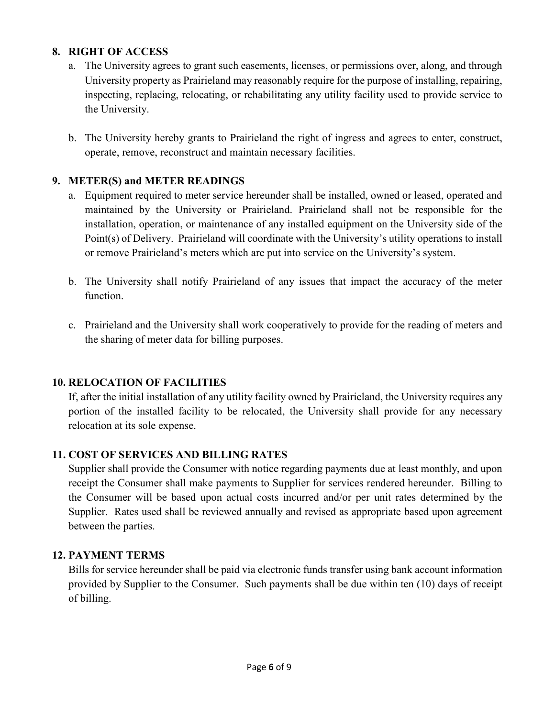## **8. RIGHT OF ACCESS**

- a. The University agrees to grant such easements, licenses, or permissions over, along, and through University property as Prairieland may reasonably require for the purpose of installing, repairing, inspecting, replacing, relocating, or rehabilitating any utility facility used to provide service to the University.
- b. The University hereby grants to Prairieland the right of ingress and agrees to enter, construct, operate, remove, reconstruct and maintain necessary facilities.

### **9. METER(S) and METER READINGS**

- a. Equipment required to meter service hereunder shall be installed, owned or leased, operated and maintained by the University or Prairieland. Prairieland shall not be responsible for the installation, operation, or maintenance of any installed equipment on the University side of the Point(s) of Delivery. Prairieland will coordinate with the University's utility operations to install or remove Prairieland's meters which are put into service on the University's system.
- b. The University shall notify Prairieland of any issues that impact the accuracy of the meter function.
- c. Prairieland and the University shall work cooperatively to provide for the reading of meters and the sharing of meter data for billing purposes.

#### **10. RELOCATION OF FACILITIES**

If, after the initial installation of any utility facility owned by Prairieland, the University requires any portion of the installed facility to be relocated, the University shall provide for any necessary relocation at its sole expense.

# **11. COST OF SERVICES AND BILLING RATES**

Supplier shall provide the Consumer with notice regarding payments due at least monthly, and upon receipt the Consumer shall make payments to Supplier for services rendered hereunder. Billing to the Consumer will be based upon actual costs incurred and/or per unit rates determined by the Supplier. Rates used shall be reviewed annually and revised as appropriate based upon agreement between the parties.

#### **12. PAYMENT TERMS**

Bills for service hereunder shall be paid via electronic funds transfer using bank account information provided by Supplier to the Consumer. Such payments shall be due within ten (10) days of receipt of billing.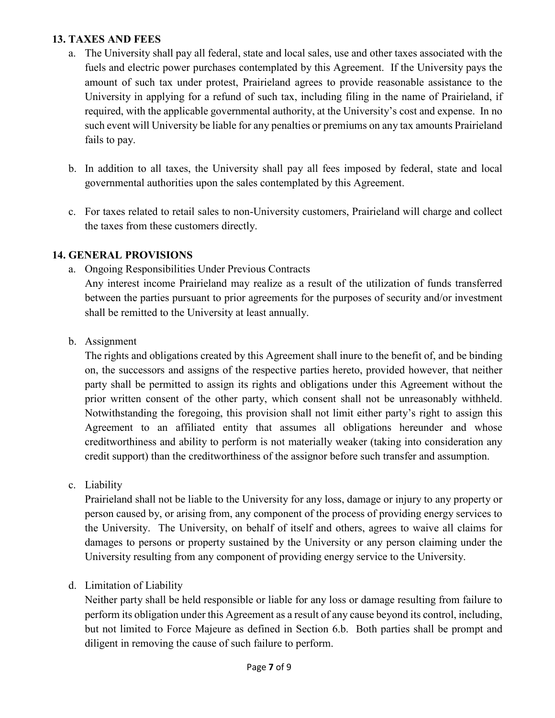### **13. TAXES AND FEES**

- a. The University shall pay all federal, state and local sales, use and other taxes associated with the fuels and electric power purchases contemplated by this Agreement. If the University pays the amount of such tax under protest, Prairieland agrees to provide reasonable assistance to the University in applying for a refund of such tax, including filing in the name of Prairieland, if required, with the applicable governmental authority, at the University's cost and expense. In no such event will University be liable for any penalties or premiums on any tax amounts Prairieland fails to pay.
- b. In addition to all taxes, the University shall pay all fees imposed by federal, state and local governmental authorities upon the sales contemplated by this Agreement.
- c. For taxes related to retail sales to non-University customers, Prairieland will charge and collect the taxes from these customers directly.

### **14. GENERAL PROVISIONS**

a. Ongoing Responsibilities Under Previous Contracts

Any interest income Prairieland may realize as a result of the utilization of funds transferred between the parties pursuant to prior agreements for the purposes of security and/or investment shall be remitted to the University at least annually.

b. Assignment

The rights and obligations created by this Agreement shall inure to the benefit of, and be binding on, the successors and assigns of the respective parties hereto, provided however, that neither party shall be permitted to assign its rights and obligations under this Agreement without the prior written consent of the other party, which consent shall not be unreasonably withheld. Notwithstanding the foregoing, this provision shall not limit either party's right to assign this Agreement to an affiliated entity that assumes all obligations hereunder and whose creditworthiness and ability to perform is not materially weaker (taking into consideration any credit support) than the creditworthiness of the assignor before such transfer and assumption.

c. Liability

Prairieland shall not be liable to the University for any loss, damage or injury to any property or person caused by, or arising from, any component of the process of providing energy services to the University. The University, on behalf of itself and others, agrees to waive all claims for damages to persons or property sustained by the University or any person claiming under the University resulting from any component of providing energy service to the University.

d. Limitation of Liability

Neither party shall be held responsible or liable for any loss or damage resulting from failure to perform its obligation under this Agreement as a result of any cause beyond its control, including, but not limited to Force Majeure as defined in Section 6.b. Both parties shall be prompt and diligent in removing the cause of such failure to perform.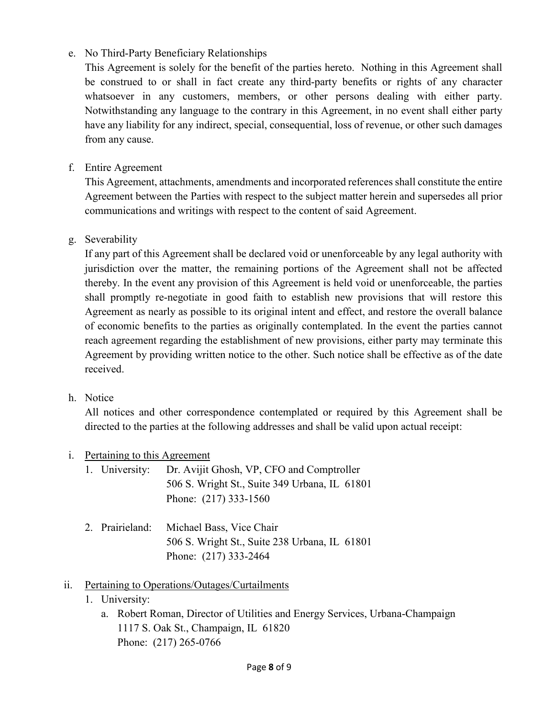# e. No Third-Party Beneficiary Relationships

This Agreement is solely for the benefit of the parties hereto. Nothing in this Agreement shall be construed to or shall in fact create any third-party benefits or rights of any character whatsoever in any customers, members, or other persons dealing with either party. Notwithstanding any language to the contrary in this Agreement, in no event shall either party have any liability for any indirect, special, consequential, loss of revenue, or other such damages from any cause.

### f. Entire Agreement

This Agreement, attachments, amendments and incorporated references shall constitute the entire Agreement between the Parties with respect to the subject matter herein and supersedes all prior communications and writings with respect to the content of said Agreement.

### g. Severability

If any part of this Agreement shall be declared void or unenforceable by any legal authority with jurisdiction over the matter, the remaining portions of the Agreement shall not be affected thereby. In the event any provision of this Agreement is held void or unenforceable, the parties shall promptly re-negotiate in good faith to establish new provisions that will restore this Agreement as nearly as possible to its original intent and effect, and restore the overall balance of economic benefits to the parties as originally contemplated. In the event the parties cannot reach agreement regarding the establishment of new provisions, either party may terminate this Agreement by providing written notice to the other. Such notice shall be effective as of the date received.

#### h. Notice

All notices and other correspondence contemplated or required by this Agreement shall be directed to the parties at the following addresses and shall be valid upon actual receipt:

#### i. Pertaining to this Agreement

|  | 1. University: Dr. Avijit Ghosh, VP, CFO and Comptroller |
|--|----------------------------------------------------------|
|  | 506 S. Wright St., Suite 349 Urbana, IL 61801            |
|  | Phone: $(217)$ 333-1560                                  |

2. Prairieland: Michael Bass, Vice Chair 506 S. Wright St., Suite 238 Urbana, IL 61801 Phone: (217) 333-2464

# ii. Pertaining to Operations/Outages/Curtailments

- 1. University:
	- a. Robert Roman, Director of Utilities and Energy Services, Urbana-Champaign 1117 S. Oak St., Champaign, IL 61820 Phone: (217) 265-0766